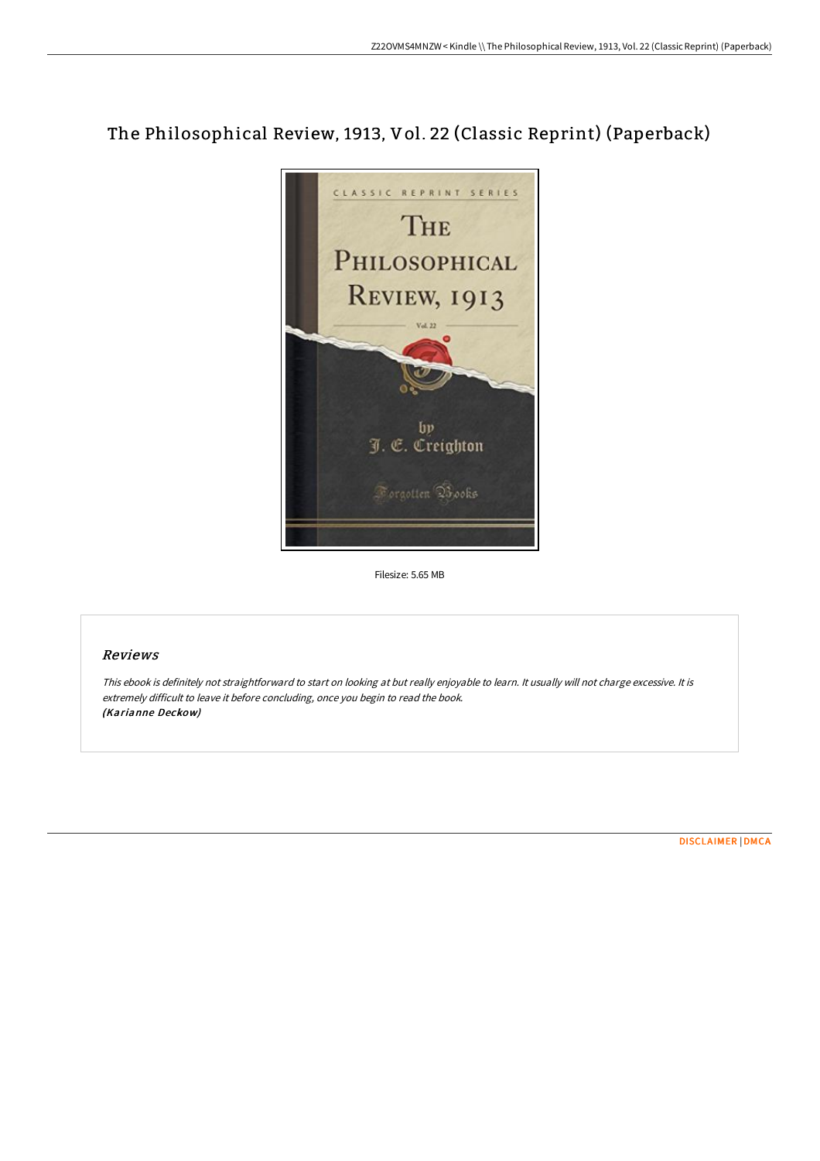# The Philosophical Review, 1913, Vol. 22 (Classic Reprint) (Paperback)



Filesize: 5.65 MB

# Reviews

This ebook is definitely not straightforward to start on looking at but really enjoyable to learn. It usually will not charge excessive. It is extremely difficult to leave it before concluding, once you begin to read the book. (Karianne Deckow)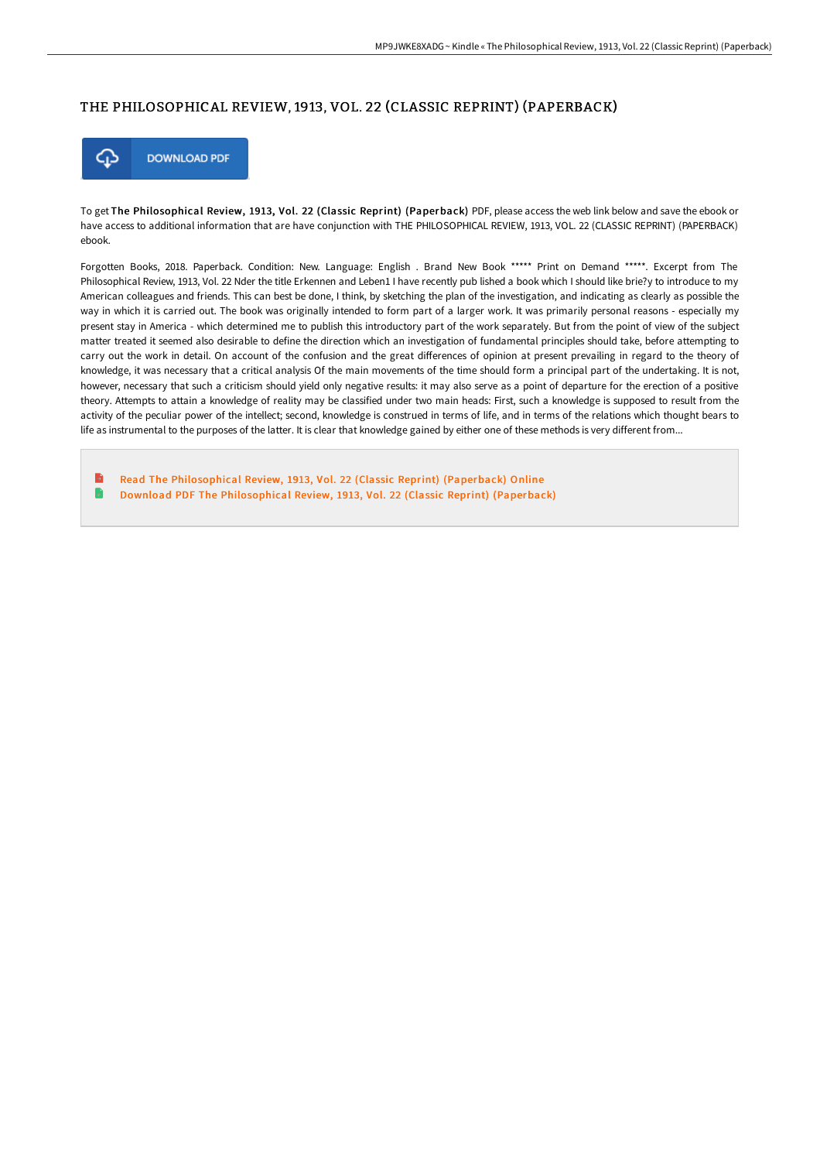## THE PHILOSOPHICAL REVIEW, 1913, VOL. 22 (CLASSIC REPRINT) (PAPERBACK)



To get The Philosophical Review, 1913, Vol. 22 (Classic Reprint) (Paperback) PDF, please access the web link below and save the ebook or have access to additional information that are have conjunction with THE PHILOSOPHICAL REVIEW, 1913, VOL. 22 (CLASSIC REPRINT) (PAPERBACK) ebook.

Forgotten Books, 2018. Paperback. Condition: New. Language: English . Brand New Book \*\*\*\*\* Print on Demand \*\*\*\*\*. Excerpt from The Philosophical Review, 1913, Vol. 22 Nder the title Erkennen and Leben1 I have recently pub lished a book which I should like brie?y to introduce to my American colleagues and friends. This can best be done, I think, by sketching the plan of the investigation, and indicating as clearly as possible the way in which it is carried out. The book was originally intended to form part of a larger work. It was primarily personal reasons - especially my present stay in America - which determined me to publish this introductory part of the work separately. But from the point of view of the subject matter treated it seemed also desirable to define the direction which an investigation of fundamental principles should take, before attempting to carry out the work in detail. On account of the confusion and the great differences of opinion at present prevailing in regard to the theory of knowledge, it was necessary that a critical analysis Of the main movements of the time should form a principal part of the undertaking. It is not, however, necessary that such a criticism should yield only negative results: it may also serve as a point of departure for the erection of a positive theory. Attempts to attain a knowledge of reality may be classified under two main heads: First, such a knowledge is supposed to result from the activity of the peculiar power of the intellect; second, knowledge is construed in terms of life, and in terms of the relations which thought bears to life as instrumental to the purposes of the latter. It is clear that knowledge gained by either one of these methods is very different from...

B Read The [Philosophical](http://techno-pub.tech/the-philosophical-review-1913-vol-22-classic-rep.html) Review, 1913, Vol. 22 (Classic Reprint) (Paperback) Online B Download PDF The [Philosophical](http://techno-pub.tech/the-philosophical-review-1913-vol-22-classic-rep.html) Review, 1913, Vol. 22 (Classic Reprint) (Paperback)